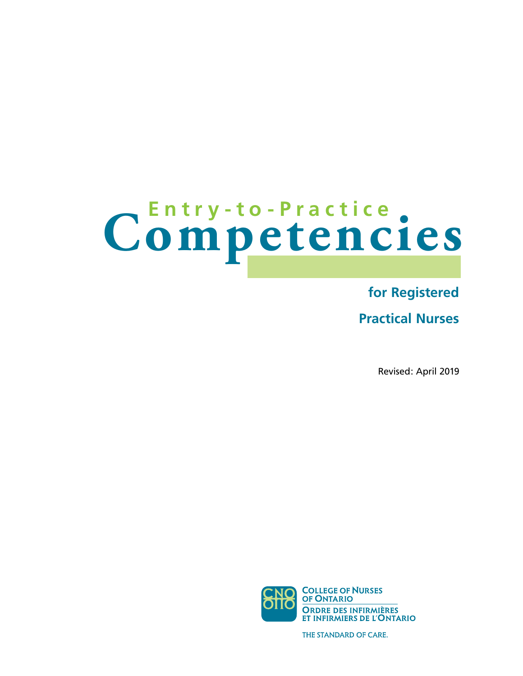# Competencies

# **for Registered**

**Practical Nurses** 

Revised: April 2019



THE STANDARD OF CARE.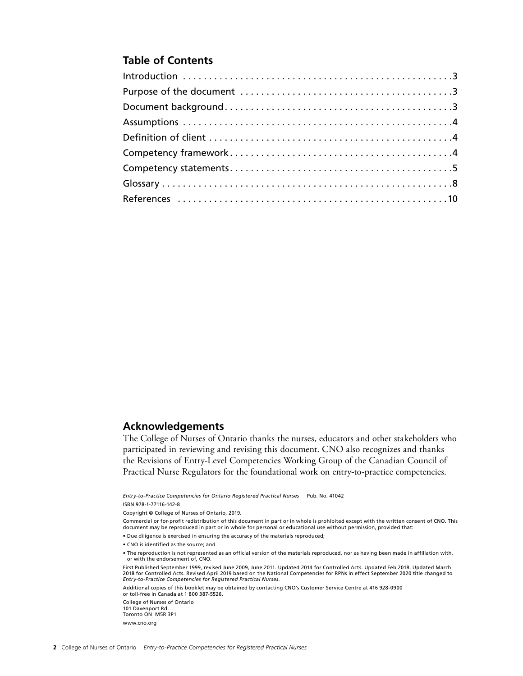# **Table of Contents**

## **Acknowledgements**

The College of Nurses of Ontario thanks the nurses, educators and other stakeholders who participated in reviewing and revising this document. CNO also recognizes and thanks the Revisions of Entry-Level Competencies Working Group of the Canadian Council of Practical Nurse Regulators for the foundational work on entry-to-practice competencies.

*Entry-to-Practice Competencies for Ontario Registered Practical Nurses* Pub. No. 41042

ISBN 978-1-77116-142-8

Copyright © College of Nurses of Ontario, 2019.

Commercial or for-profit redistribution of this document in part or in whole is prohibited except with the written consent of CNO. This document may be reproduced in part or in whole for personal or educational use without permission, provided that:

• Due diligence is exercised in ensuring the accuracy of the materials reproduced;

- CNO is identified as the source; and
- The reproduction is not represented as an official version of the materials reproduced, nor as having been made in affiliation with, or with the endorsement of, CNO.

First Published September 1999, revised June 2009, June 2011. Updated 2014 for Controlled Acts. Updated Feb 2018. Updated March 2018 for Controlled Acts. Revised April 2019 based on the National Competencies for RPNs in effect September 2020 title changed to *Entry-to-Practice Competencies for Registered Practical Nurses*.

Additional copies of this booklet may be obtained by contacting CNO's Customer Service Centre at 416 928-0900 or toll-free in Canada at 1 800 387-5526.

College of Nurses of Ontario 101 Davenport Rd. Toronto ON M5R 3P1 [www.cno.org](http://www.cno.org)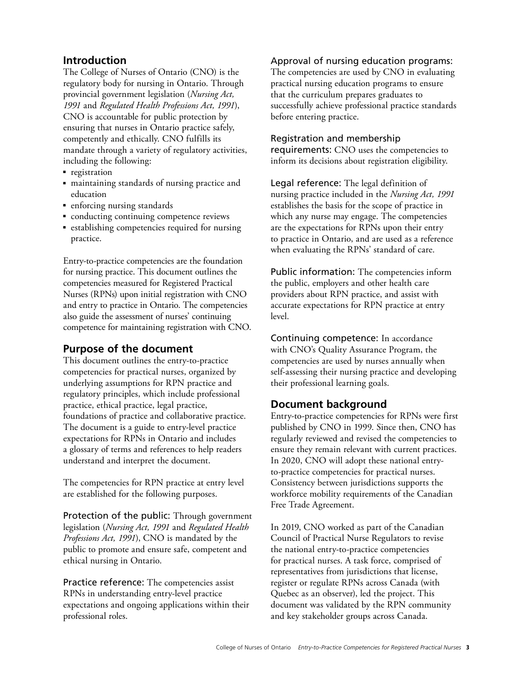# <span id="page-2-0"></span>**Introduction**

The College of Nurses of Ontario (CNO) is the regulatory body for nursing in Ontario. Through provincial government legislation (*Nursing Act, 1991* and *Regulated Health Professions Act, 1991*), CNO is accountable for public protection by ensuring that nurses in Ontario practice safely, competently and ethically. CNO fulfills its mandate through a variety of regulatory activities, including the following:

- registration
- maintaining standards of nursing practice and education
- enforcing nursing standards
- conducting continuing competence reviews
- establishing competencies required for nursing practice.

Entry-to-practice competencies are the foundation for nursing practice. This document outlines the competencies measured for Registered Practical Nurses (RPNs) upon initial registration with CNO and entry to practice in Ontario. The competencies also guide the assessment of nurses' continuing competence for maintaining registration with CNO.

# **Purpose of the document**

This document outlines the entry-to-practice competencies for practical nurses, organized by underlying assumptions for RPN practice and regulatory principles, which include professional practice, ethical practice, legal practice, foundations of practice and collaborative practice. The document is a guide to entry-level practice expectations for RPNs in Ontario and includes a glossary of terms and references to help readers understand and interpret the document.

The competencies for RPN practice at entry level are established for the following purposes.

Protection of the public: Through government legislation (*Nursing Act, 1991* and *Regulated Health Professions Act, 1991*), CNO is mandated by the public to promote and ensure safe, competent and ethical nursing in Ontario.

Practice reference: The competencies assist RPNs in understanding entry-level practice expectations and ongoing applications within their professional roles.

## Approval of nursing education programs:

The competencies are used by CNO in evaluating practical nursing education programs to ensure that the curriculum prepares graduates to successfully achieve professional practice standards before entering practice.

#### Registration and membership

requirements: CNO uses the competencies to inform its decisions about registration eligibility.

Legal reference: The legal definition of nursing practice included in the *Nursing Act, 1991*  establishes the basis for the scope of practice in which any nurse may engage. The competencies are the expectations for RPNs upon their entry to practice in Ontario, and are used as a reference when evaluating the RPNs' standard of care.

Public information: The competencies inform the public, employers and other health care providers about RPN practice, and assist with accurate expectations for RPN practice at entry level.

Continuing competence: In accordance with CNO's Quality Assurance Program, the competencies are used by nurses annually when self-assessing their nursing practice and developing their professional learning goals.

# **Document background**

Entry-to-practice competencies for RPNs were first published by CNO in 1999. Since then, CNO has regularly reviewed and revised the competencies to ensure they remain relevant with current practices. In 2020, CNO will adopt these national entryto-practice competencies for practical nurses. Consistency between jurisdictions supports the workforce mobility requirements of the Canadian Free Trade Agreement.

In 2019, CNO worked as part of the Canadian Council of Practical Nurse Regulators to revise the national entry-to-practice competencies for practical nurses. A task force, comprised of representatives from jurisdictions that license, register or regulate RPNs across Canada (with Quebec as an observer), led the project. This document was validated by the RPN community and key stakeholder groups across Canada.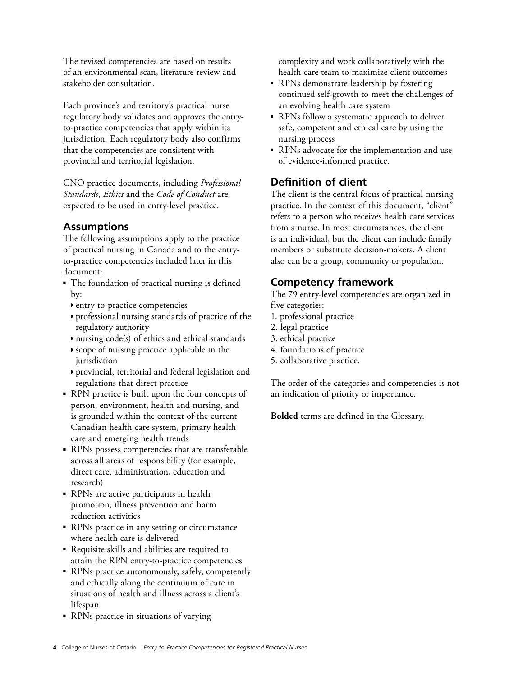<span id="page-3-0"></span>The revised competencies are based on results of an environmental scan, literature review and stakeholder consultation.

Each province's and territory's practical nurse regulatory body validates and approves the entryto-practice competencies that apply within its jurisdiction. Each regulatory body also confirms that the competencies are consistent with provincial and territorial legislation.

CNO practice documents, including *Professional Standards*, *Ethics* and the *Code of Conduct* are expected to be used in entry-level practice.

# **Assumptions**

The following assumptions apply to the practice of practical nursing in Canada and to the entryto-practice competencies included later in this document:

- The foundation of practical nursing is defined by:
	- ◗ entry-to-practice competencies
	- ◗ professional nursing standards of practice of the regulatory authority
	- ◗ nursing code(s) of ethics and ethical standards
	- ◗ scope of nursing practice applicable in the jurisdiction
	- ◗ provincial, territorial and federal legislation and regulations that direct practice
- RPN practice is built upon the four concepts of person, environment, health and nursing, and is grounded within the context of the current Canadian health care system, primary health care and emerging health trends
- RPNs possess competencies that are transferable across all areas of responsibility (for example, direct care, administration, education and research)
- RPNs are active participants in health promotion, illness prevention and harm reduction activities
- RPNs practice in any setting or circumstance where health care is delivered
- Requisite skills and abilities are required to attain the RPN entry-to-practice competencies
- RPNs practice autonomously, safely, competently and ethically along the continuum of care in situations of health and illness across a client's lifespan
- RPNs practice in situations of varying

complexity and work collaboratively with the health care team to maximize client outcomes

- RPNs demonstrate leadership by fostering continued self-growth to meet the challenges of an evolving health care system
- RPNs follow a systematic approach to deliver safe, competent and ethical care by using the nursing process
- RPNs advocate for the implementation and use of evidence-informed practice.

# **Definition of client**

The client is the central focus of practical nursing practice. In the context of this document, "client" refers to a person who receives health care services from a nurse. In most circumstances, the client is an individual, but the client can include family members or substitute decision-makers. A client also can be a group, community or population.

# **Competency framework**

The 79 entry-level competencies are organized in five categories:

- 1. professional practice
- 2. legal practice
- 3. ethical practice
- 4. foundations of practice
- 5. collaborative practice.

The order of the categories and competencies is not an indication of priority or importance.

**Bolded** terms are defined in the Glossary.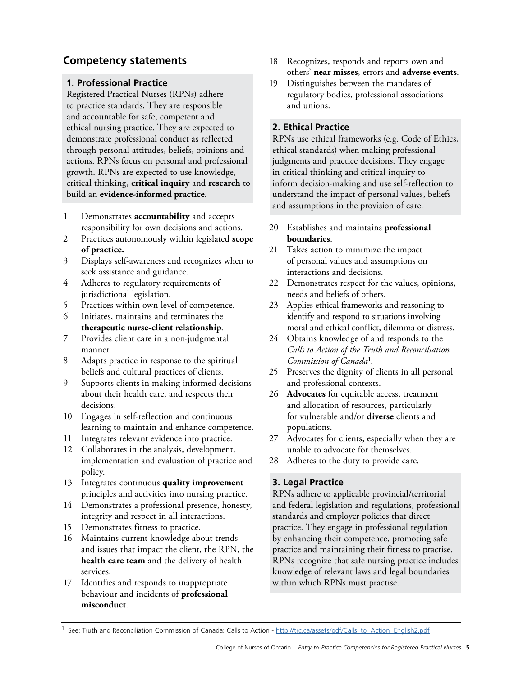# <span id="page-4-0"></span>**Competency statements**

## **1. Professional Practice**

Registered Practical Nurses (RPNs) adhere to practice standards. They are responsible and accountable for safe, competent and ethical nursing practice. They are expected to demonstrate professional conduct as reflected through personal attitudes, beliefs, opinions and actions. RPNs focus on personal and professional growth. RPNs are expected to use knowledge, critical thinking, **critical inquiry** and **research** to build an **evidence-informed practice**.

- 1 Demonstrates **accountability** and accepts responsibility for own decisions and actions.
- 2 Practices autonomously within legislated **scope of practice.**
- 3 Displays self-awareness and recognizes when to seek assistance and guidance.
- 4 Adheres to regulatory requirements of jurisdictional legislation.
- 5 Practices within own level of competence.
- 6 Initiates, maintains and terminates the **therapeutic nurse-client relationship**.
- 7 Provides client care in a non-judgmental manner.
- 8 Adapts practice in response to the spiritual beliefs and cultural practices of clients.
- 9 Supports clients in making informed decisions about their health care, and respects their decisions.
- 10 Engages in self-reflection and continuous learning to maintain and enhance competence.
- 11 Integrates relevant evidence into practice.
- 12 Collaborates in the analysis, development, implementation and evaluation of practice and policy.
- 13 Integrates continuous **quality improvement**  principles and activities into nursing practice.
- 14 Demonstrates a professional presence, honesty, integrity and respect in all interactions.
- 15 Demonstrates fitness to practice.
- 16 Maintains current knowledge about trends and issues that impact the client, the RPN, the **health care team** and the delivery of health services.
- 17 Identifies and responds to inappropriate behaviour and incidents of **professional misconduct**.
- 18 Recognizes, responds and reports own and others' **near misses**, errors and **adverse events**.
- 19 Distinguishes between the mandates of regulatory bodies, professional associations and unions.

## **2. Ethical Practice**

RPNs use ethical frameworks (e.g. Code of Ethics, ethical standards) when making professional judgments and practice decisions. They engage in critical thinking and critical inquiry to inform decision-making and use self-reflection to understand the impact of personal values, beliefs and assumptions in the provision of care.

- 20 Establishes and maintains **professional boundaries**.
- 21 Takes action to minimize the impact of personal values and assumptions on interactions and decisions.
- 22 Demonstrates respect for the values, opinions, needs and beliefs of others.
- 23 Applies ethical frameworks and reasoning to identify and respond to situations involving moral and ethical conflict, dilemma or distress.
- 24 Obtains knowledge of and responds to the *Calls to Action of the Truth and Reconciliation Commission of Canada<sup>1</sup>*.
- 25 Preserves the dignity of clients in all personal and professional contexts.
- 26 **Advocates** for equitable access, treatment and allocation of resources, particularly for vulnerable and/or **diverse** clients and populations.
- 27 Advocates for clients, especially when they are unable to advocate for themselves.
- 28 Adheres to the duty to provide care.

# **3. Legal Practice**

RPNs adhere to applicable provincial/territorial and federal legislation and regulations, professional standards and employer policies that direct practice. They engage in professional regulation by enhancing their competence, promoting safe practice and maintaining their fitness to practise. RPNs recognize that safe nursing practice includes knowledge of relevant laws and legal boundaries within which RPNs must practise.

<sup>&</sup>lt;sup>1</sup> See: Truth and Reconciliation Commission of Canada: Calls to Action - [http://trc.ca/assets/pdf/Calls\\_to\\_Action\\_English2.pdf](http://trc.ca/assets/pdf/Calls_to_Action_English2.pdf)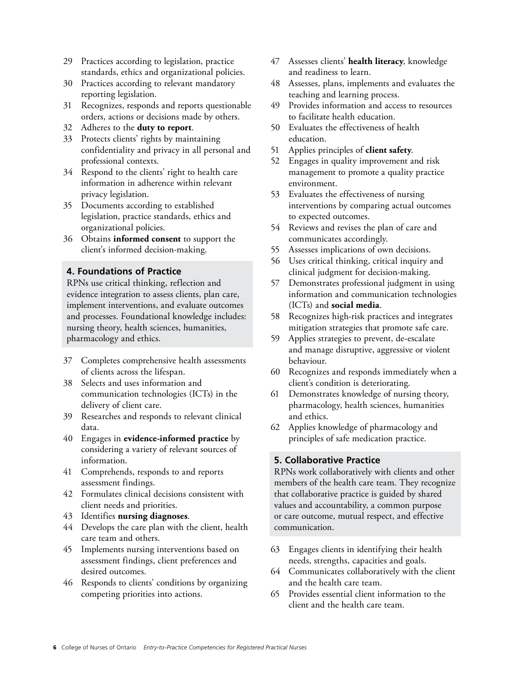- 29 Practices according to legislation, practice standards, ethics and organizational policies.
- 30 Practices according to relevant mandatory reporting legislation.
- 31 Recognizes, responds and reports questionable orders, actions or decisions made by others.
- 32 Adheres to the **duty to report**.
- 33 Protects clients' rights by maintaining confidentiality and privacy in all personal and professional contexts.
- 34 Respond to the clients' right to health care information in adherence within relevant privacy legislation.
- 35 Documents according to established legislation, practice standards, ethics and organizational policies.
- 36 Obtains **informed consent** to support the client's informed decision-making.

## **4. Foundations of Practice**

RPNs use critical thinking, reflection and evidence integration to assess clients, plan care, implement interventions, and evaluate outcomes and processes. Foundational knowledge includes: nursing theory, health sciences, humanities, pharmacology and ethics.

- 37 Completes comprehensive health assessments of clients across the lifespan.
- 38 Selects and uses information and communication technologies (ICTs) in the delivery of client care.
- 39 Researches and responds to relevant clinical data.
- 40 Engages in **evidence-informed practice** by considering a variety of relevant sources of information.
- 41 Comprehends, responds to and reports assessment findings.
- 42 Formulates clinical decisions consistent with client needs and priorities.
- 43 Identifies **nursing diagnoses**.
- 44 Develops the care plan with the client, health care team and others.
- 45 Implements nursing interventions based on assessment findings, client preferences and desired outcomes.
- 46 Responds to clients' conditions by organizing competing priorities into actions.
- 47 Assesses clients' **health literacy**, knowledge and readiness to learn.
- 48 Assesses, plans, implements and evaluates the teaching and learning process.
- 49 Provides information and access to resources to facilitate health education.
- 50 Evaluates the effectiveness of health education.
- 51 Applies principles of **client safety**.
- 52 Engages in quality improvement and risk management to promote a quality practice environment.
- 53 Evaluates the effectiveness of nursing interventions by comparing actual outcomes to expected outcomes.
- 54 Reviews and revises the plan of care and communicates accordingly.
- 55 Assesses implications of own decisions.
- 56 Uses critical thinking, critical inquiry and clinical judgment for decision-making.
- 57 Demonstrates professional judgment in using information and communication technologies (ICTs) and **social media**.
- 58 Recognizes high-risk practices and integrates mitigation strategies that promote safe care.
- 59 Applies strategies to prevent, de-escalate and manage disruptive, aggressive or violent behaviour.
- 60 Recognizes and responds immediately when a client's condition is deteriorating.
- 61 Demonstrates knowledge of nursing theory, pharmacology, health sciences, humanities and ethics.
- 62 Applies knowledge of pharmacology and principles of safe medication practice.

#### **5. Collaborative Practice**

RPNs work collaboratively with clients and other members of the health care team. They recognize that collaborative practice is guided by shared values and accountability, a common purpose or care outcome, mutual respect, and effective communication.

- 63 Engages clients in identifying their health needs, strengths, capacities and goals.
- 64 Communicates collaboratively with the client and the health care team.
- 65 Provides essential client information to the client and the health care team.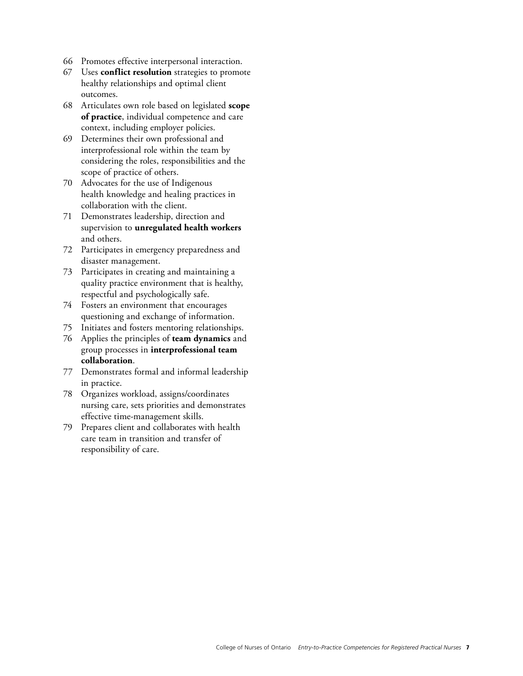- 66 Promotes effective interpersonal interaction.
- 67 Uses **conflict resolution** strategies to promote healthy relationships and optimal client outcomes.
- 68 Articulates own role based on legislated **scope of practice**, individual competence and care context, including employer policies.
- 69 Determines their own professional and interprofessional role within the team by considering the roles, responsibilities and the scope of practice of others.
- 70 Advocates for the use of Indigenous health knowledge and healing practices in collaboration with the client.
- 71 Demonstrates leadership, direction and supervision to **unregulated health workers**  and others.
- 72 Participates in emergency preparedness and disaster management.
- 73 Participates in creating and maintaining a quality practice environment that is healthy, respectful and psychologically safe.
- 74 Fosters an environment that encourages questioning and exchange of information.
- 75 Initiates and fosters mentoring relationships.
- 76 Applies the principles of **team dynamics** and group processes in **interprofessional team collaboration**.
- 77 Demonstrates formal and informal leadership in practice.
- 78 Organizes workload, assigns/coordinates nursing care, sets priorities and demonstrates effective time-management skills.
- 79 Prepares client and collaborates with health care team in transition and transfer of responsibility of care.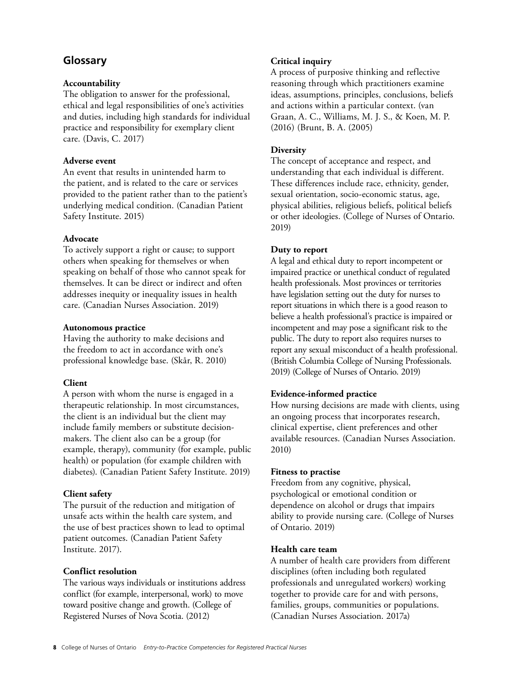# <span id="page-7-0"></span>**Glossary**

#### **Accountability**

The obligation to answer for the professional, ethical and legal responsibilities of one's activities and duties, including high standards for individual practice and responsibility for exemplary client care. (Davis, C. 2017)

#### **Adverse event**

An event that results in unintended harm to the patient, and is related to the care or services provided to the patient rather than to the patient's underlying medical condition. (Canadian Patient Safety Institute. 2015)

## **Advocate**

To actively support a right or cause; to support others when speaking for themselves or when speaking on behalf of those who cannot speak for themselves. It can be direct or indirect and often addresses inequity or inequality issues in health care. (Canadian Nurses Association. 2019)

#### **Autonomous practice**

Having the authority to make decisions and the freedom to act in accordance with one's professional knowledge base. (Skår, R. 2010)

# **Client**

A person with whom the nurse is engaged in a therapeutic relationship. In most circumstances, the client is an individual but the client may include family members or substitute decisionmakers. The client also can be a group (for example, therapy), community (for example, public health) or population (for example children with diabetes). (Canadian Patient Safety Institute. 2019)

# **Client safety**

The pursuit of the reduction and mitigation of unsafe acts within the health care system, and the use of best practices shown to lead to optimal patient outcomes. (Canadian Patient Safety Institute. 2017).

# **Conflict resolution**

The various ways individuals or institutions address conflict (for example, interpersonal, work) to move toward positive change and growth. (College of Registered Nurses of Nova Scotia. (2012)

# **Critical inquiry**

A process of purposive thinking and reflective reasoning through which practitioners examine ideas, assumptions, principles, conclusions, beliefs and actions within a particular context. (van Graan, A. C., Williams, M. J. S., & Koen, M. P. (2016) (Brunt, B. A. (2005)

# **Diversity**

The concept of acceptance and respect, and understanding that each individual is different. These differences include race, ethnicity, gender, sexual orientation, socio-economic status, age, physical abilities, religious beliefs, political beliefs or other ideologies. (College of Nurses of Ontario. 2019)

## **Duty to report**

A legal and ethical duty to report incompetent or impaired practice or unethical conduct of regulated health professionals. Most provinces or territories have legislation setting out the duty for nurses to report situations in which there is a good reason to believe a health professional's practice is impaired or incompetent and may pose a significant risk to the public. The duty to report also requires nurses to report any sexual misconduct of a health professional. (British Columbia College of Nursing Professionals. 2019) (College of Nurses of Ontario. 2019)

# **Evidence-informed practice**

How nursing decisions are made with clients, using an ongoing process that incorporates research, clinical expertise, client preferences and other available resources. (Canadian Nurses Association. 2010)

#### **Fitness to practise**

Freedom from any cognitive, physical, psychological or emotional condition or dependence on alcohol or drugs that impairs ability to provide nursing care. (College of Nurses of Ontario. 2019)

# **Health care team**

A number of health care providers from different disciplines (often including both regulated professionals and unregulated workers) working together to provide care for and with persons, families, groups, communities or populations. (Canadian Nurses Association. 2017a)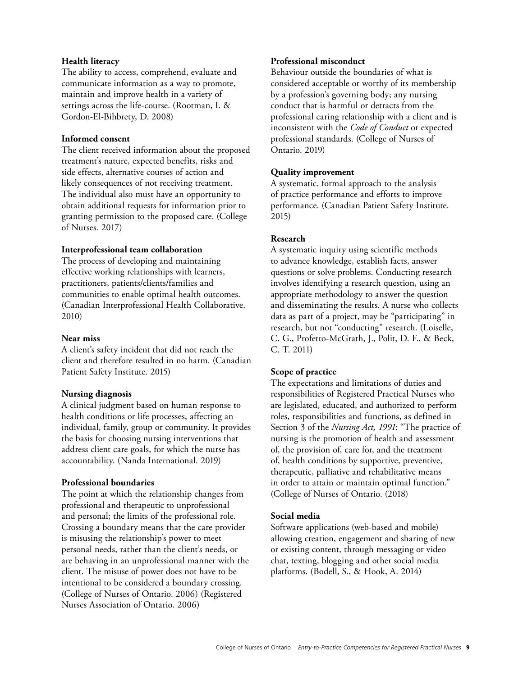#### **Health literacy**

The ability to access, comprehend, evaluate and communicate information as a way to promote, maintain and improve health in a variety of settings across the life-course. (Rootman, I. & Gordon-El-Bihbrety, D. 2008)

#### **Informed consent**

The client received information about the proposed treatment's nature, expected benefits, risks and side effects, alternative courses of action and likely consequences of not receiving treatment. The individual also must have an opportunity to obtain additional requests for information prior to granting permission to the proposed care. (College of Nurses. 2017)

#### **Interprofessional team collaboration**

The process of developing and maintaining effective working relationships with learners, practitioners, patients/clients/families and communities to enable optimal health outcomes. (Canadian Interprofessional Health Collaborative. 2010)

#### **Near miss**

A client's safety incident that did not reach the client and therefore resulted in no harm. (Canadian Patient Safety Institute. 2015)

#### **Nursing diagnosis**

A clinical judgment based on human response to health conditions or life processes, affecting an individual, family, group or community. It provides the basis for choosing nursing interventions that address client care goals, for which the nurse has accountability. (Nanda International. 2019)

#### **Professional boundaries**

The point at which the relationship changes from professional and therapeutic to unprofessional and personal; the limits of the professional role. Crossing a boundary means that the care provider is misusing the relationship's power to meet personal needs, rather than the client's needs, or are behaving in an unprofessional manner with the client. The misuse of power does not have to be intentional to be considered a boundary crossing. (College of Nurses of Ontario. 2006) (Registered Nurses Association of Ontario. 2006)

#### **Professional misconduct**

Behaviour outside the boundaries of what is considered acceptable or worthy of its membership by a profession's governing body; any nursing conduct that is harmful or detracts from the professional caring relationship with a client and is inconsistent with the *Code of Conduct* or expected professional standards. (College of Nurses of Ontario. 2019)

#### **Quality improvement**

A systematic, formal approach to the analysis of practice performance and efforts to improve performance. (Canadian Patient Safety Institute. 2015)

#### **Research**

A systematic inquiry using scientific methods to advance knowledge, establish facts, answer questions or solve problems. Conducting research involves identifying a research question, using an appropriate methodology to answer the question and disseminating the results. A nurse who collects data as part of a project, may be "participating" in research, but not "conducting" research. (Loiselle, C. G., Profetto-McGrath, J., Polit, D. F., & Beck, C. T. 2011)

#### **Scope of practice**

The expectations and limitations of duties and responsibilities of Registered Practical Nurses who are legislated, educated, and authorized to perform roles, responsibilities and functions, as defined in Section 3 of the *Nursing Act, 1991*: "The practice of nursing is the promotion of health and assessment of, the provision of, care for, and the treatment of, health conditions by supportive, preventive, therapeutic, palliative and rehabilitative means in order to attain or maintain optimal function." (College of Nurses of Ontario. (2018)

#### **Social media**

Software applications (web-based and mobile) allowing creation, engagement and sharing of new or existing content, through messaging or video chat, texting, blogging and other social media platforms. (Bodell, S., & Hook, A. 2014)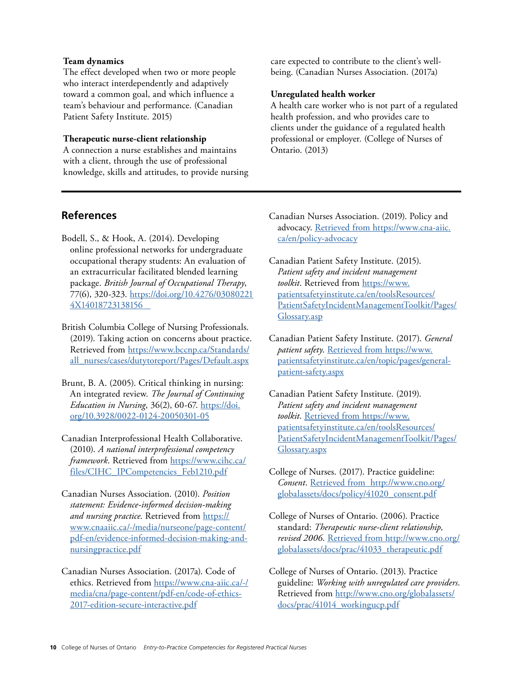#### <span id="page-9-0"></span>**Team dynamics**

The effect developed when two or more people who interact interdependently and adaptively toward a common goal, and which influence a team's behaviour and performance. (Canadian Patient Safety Institute. 2015)

#### **Therapeutic nurse-client relationship**

A connection a nurse establishes and maintains with a client, through the use of professional knowledge, skills and attitudes, to provide nursing care expected to contribute to the client's wellbeing. (Canadian Nurses Association. (2017a)

#### **Unregulated health worker**

A health care worker who is not part of a regulated health profession, and who provides care to clients under the guidance of a regulated health professional or employer. (College of Nurses of Ontario. (2013)

# **References**

- Bodell, S., & Hook, A. (2014). Developing online professional networks for undergraduate occupational therapy students: An evaluation of an extracurricular facilitated blended learning package. *British Journal of Occupational Therapy*, 77(6), 320-323. [https://doi.org/10.4276/03080221](https://doi.org/10.4276/030802214X14018723138156)  [4X14018723138156](https://doi.org/10.4276/030802214X14018723138156)
- British Columbia College of Nursing Professionals. (2019). Taking action on concerns about practice. Retrieved from [https://www.bccnp.ca/Standards/](https://www.bccnp.ca/Standards/all_nurses/cases/dutytoreport/Pages/Default.aspx)  [all\\_nurses/cases/dutytoreport/Pages/Default.aspx](https://www.bccnp.ca/Standards/all_nurses/cases/dutytoreport/Pages/Default.aspx)
- Brunt, B. A. (2005). Critical thinking in nursing: An integrated review. *The Journal of Continuing Education in Nursing*, 36(2), 60-67. [https://doi.](https://doi.org/10.3928/0022-0124-20050301-05) [org/10.3928/0022-0124-20050301-05](https://doi.org/10.3928/0022-0124-20050301-05)
- Canadian Interprofessional Health Collaborative. (2010). *A national interprofessional competency framework*. Retrieved from [https://www.cihc.ca](https://www.cihc.ca/files/CIHC_IPCompetencies_Feb1210.pdf)/ files/CIHC\_IPCompetencies\_Feb1210.pdf
- Canadian Nurses Association. (2010). *Position statement: Evidence-informed decision-making and nursing practice*. Retrieved fro[m https://](https://www.cnaaiic.ca/-/media/nurseone/page-content/pdf-en/evidence-informed-decision-making-and-nursingpractice.pdf)  [www.cnaaiic.ca/-/media/nurseone/page-content/](https://www.cnaaiic.ca/-/media/nurseone/page-content/pdf-en/evidence-informed-decision-making-and-nursingpractice.pdf) [pdf-en/evidence-informed-decision-making-and](https://www.cnaaiic.ca/-/media/nurseone/page-content/pdf-en/evidence-informed-decision-making-and-nursingpractice.pdf)[nursingpractice.pdf](https://www.cnaaiic.ca/-/media/nurseone/page-content/pdf-en/evidence-informed-decision-making-and-nursingpractice.pdf)
- Canadian Nurses Association. (2017a). Code of ethics. Retrieved from [https://www.cna-aiic.ca/-/](https://www.cna-aiic.ca/-/media/cna/page-content/pdf-en/code-of-ethics-2017-edition-secure-interactive.pdf)  [media/cna/page-content/pdf-en/code-of-ethics-](https://www.cna-aiic.ca/-/media/cna/page-content/pdf-en/code-of-ethics-2017-edition-secure-interactive.pdf)[2017-edition-secure-interactive.pdf](https://www.cna-aiic.ca/-/media/cna/page-content/pdf-en/code-of-ethics-2017-edition-secure-interactive.pdf)
- Canadian Nurses Association. (2019). Policy and advocacy. [Retrieved from https://www.cna-aiic.](https://www.cna-aiic.ca/en/policy-advocacy)  [ca/en/policy-advocacy](https://www.cna-aiic.ca/en/policy-advocacy)
- Canadian Patient Safety Institute. (2015). *Patient safety and incident management toolkit*. Retrieved from [https://www.](https://www.patientsafetyinstitute.ca/en/toolsResources/PatientSafetyIncidentManagementToolkit/Pages/Glossary.asp) patientsafetyinstitute.ca/en/toolsResources/ [PatientSafetyIncidentManagementToolkit/Pages/](https://www.patientsafetyinstitute.ca/en/toolsResources/PatientSafetyIncidentManagementToolkit/Pages/Glossary.asp)  Glossary.asp
- Canadian Patient Safety Institute. (2017). *General patient safety*. Retrieved from [https://www.](https://www.patientsafetyinstitute.ca/en/topic/pages/general-patient-safety.aspx)  [patientsafetyinstitute.ca/en/topic/pages/general](https://www.patientsafetyinstitute.ca/en/topic/pages/general-patient-safety.aspx)[patient-safety.aspx](https://www.patientsafetyinstitute.ca/en/topic/pages/general-patient-safety.aspx)
- Canadian Patient Safety Institute. (2019). *Patient safety and incident management toolkit*. Retrieved from [https://www.](https://www.patientsafetyinstitute.ca/en/toolsResources/PatientSafetyIncidentManagementToolkit/Pages/Glossary.aspx)  [patientsafetyinstitute.ca/en/toolsResources/](https://www.patientsafetyinstitute.ca/en/toolsResources/PatientSafetyIncidentManagementToolkit/Pages/Glossary.aspx)  [PatientSafetyIncidentManagementToolkit/Pages/](https://www.patientsafetyinstitute.ca/en/toolsResources/PatientSafetyIncidentManagementToolkit/Pages/Glossary.aspx)  [Glossary.aspx](https://www.patientsafetyinstitute.ca/en/toolsResources/PatientSafetyIncidentManagementToolkit/Pages/Glossary.aspx)
- College of Nurses. (2017). Practice guideline: *Consent*. Retrieved from [http://www.cno.org/](http://www.cno.org/globalassets/docs/policy/41020_consent.pdf)  [globalassets/docs/policy/41020\\_consent.pdf](http://www.cno.org/globalassets/docs/policy/41020_consent.pdf)
- College of Nurses of Ontario. (2006). Practice standard: *Therapeutic nurse-client relationship, revised 2006*. Retrieved from [http://www.cno.org/](http://www.cno.org/globalassets/docs/prac/41033_therapeutic.pdf)  globalassets/docs/prac/41033\_therapeutic.pdf
- College of Nurses of Ontario. (2013). Practice guideline: *Working with unregulated care providers*. Retrieved from [http://www.cno.org/globalassets](http://www.cno.org/globalassets/docs/prac/41014_workingucp.pdf)/ [docs/prac/41014\\_workingucp.pdf](http://www.cno.org/globalassets/docs/prac/41014_workingucp.pdf)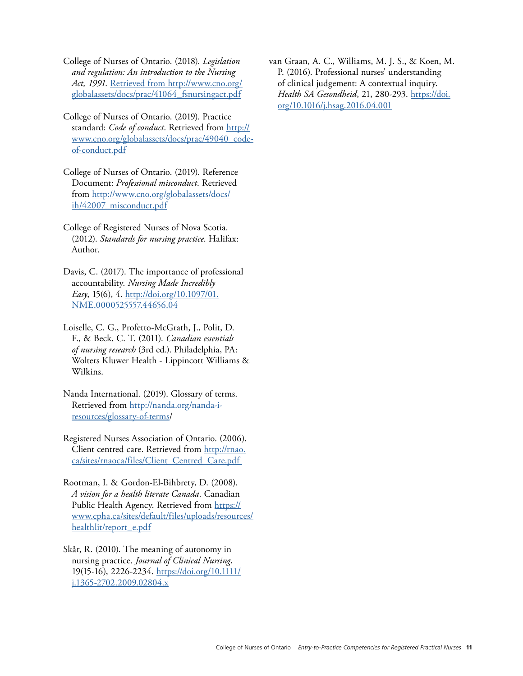- College of Nurses of Ontario. (2018). *Legislation and regulation: An introduction to the Nursing Act, 1991*. Retrieved from [http://www.cno.org/](http://www.cno.org/globalassets/docs/prac/41064_fsnursingact.pdf)  [globalassets/docs/prac/41064\\_fsnursingact.pdf](http://www.cno.org/globalassets/docs/prac/41064_fsnursingact.pdf)
- College of Nurses of Ontario. (2019). Practice standard: *Code of conduct*. Retrieved from [http://](https://www.cno.org/globalassets/docs/prac/49040_code-of-conduct.pdf)  [www.cno.org/globalassets/docs/prac/49040\\_code](https://www.cno.org/globalassets/docs/prac/49040_code-of-conduct.pdf)[of-conduct.pdf](https://www.cno.org/globalassets/docs/prac/49040_code-of-conduct.pdf)
- College of Nurses of Ontario. (2019). Reference Document: *Professional misconduct*. Retrieved from [http://www.cno.org/globalassets/docs/](http://www.cno.org/globalassets/docs/ih/42007_misconduct.pdf)  [ih/42007\\_misconduct.pdf](http://www.cno.org/globalassets/docs/ih/42007_misconduct.pdf)
- College of Registered Nurses of Nova Scotia. (2012). *Standards for nursing practice*. Halifax: Author.
- Davis, C. (2017). The importance of professional accountability. *Nursing Made Incredibly Easy*, 15(6), 4. [http://doi.org/10.1097/01.](http://doi.org/10.1097/01.NME.0000525557.44656.04)  [NME.0000525557.44656.04](http://doi.org/10.1097/01.NME.0000525557.44656.04)
- Loiselle, C. G., Profetto-McGrath, J., Polit, D. F., & Beck, C. T. (2011). *Canadian essentials of nursing research* (3rd ed.). Philadelphia, PA: Wolters Kluwer Health - Lippincott Williams & Wilkins.
- Nanda International. (2019). Glossary of terms. Retrieved from [http://nanda.org/nanda-i](http://nanda.org/nanda-i-resources/glossary-of-terms/)[resources/glossary-of-terms/](http://nanda.org/nanda-i-resources/glossary-of-terms/)
- Registered Nurses Association of Ontario. (2006). Client centred care. Retrieved from http://rnao. [ca/sites/rnaoca/files/Client\\_Centred\\_Care.pdf](http://rnao.ca/sites/rnaoca/files/Client_Centred_Care.pdf)
- Rootman, I. & Gordon-El-Bihbrety, D. (2008). *A vision for a health literate Canada*. Canadian Public Health Agency. Retrieved from [https://](https://www.cpha.ca/sites/default/files/uploads/resources/healthlit/report_e.pdf)  [www.cpha.ca/sites/default/files/uploads/resources/](https://www.cpha.ca/sites/default/files/uploads/resources/healthlit/report_e.pdf)  healthlit/report\_e.pdf
- Skår, R. (2010). The meaning of autonomy in nursing practice. *Journal of Clinical Nursing*, 19(15-16), 2226-2234. [https://doi.org/10.1111/](https://doi.org/10.1111/j.1365-2702.2009.02804.x)  [j.1365-2702.2009.02804.x](https://doi.org/10.1111/j.1365-2702.2009.02804.x)

van Graan, A. C., Williams, M. J. S., & Koen, M. P. (2016). Professional nurses' understanding of clinical judgement: A contextual inquiry. *Health SA Gesondheid*, 21, 280-293. [https://doi.](https://doi.org/10.1016/j.hsag.2016.04.001) [org/10.1016/j.hsag.2016.04.001](https://doi.org/10.1016/j.hsag.2016.04.001)